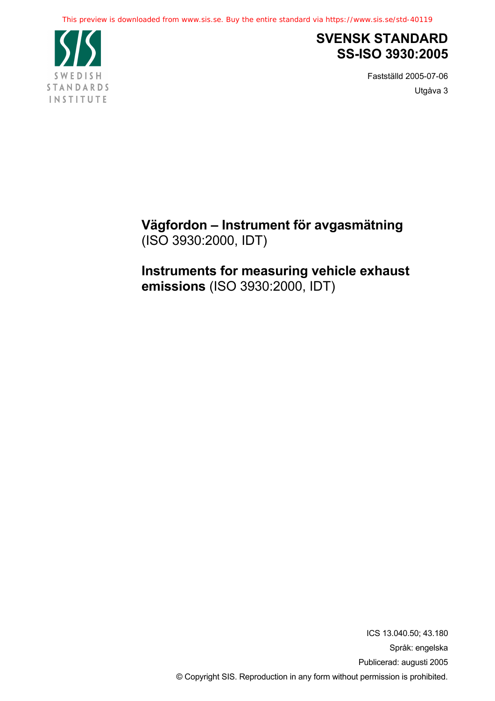

# **SVENSK STANDARD SS-ISO 3930:2005**

Fastställd 2005-07-06 Utgåva 3

**Vägfordon – Instrument för avgasmätning** (ISO 3930:2000, IDT)

**Instruments for measuring vehicle exhaust emissions** (ISO 3930:2000, IDT)

> ICS 13.040.50; 43.180 Språk: engelska Publicerad: augusti 2005 © Copyright SIS. Reproduction in any form without permission is prohibited.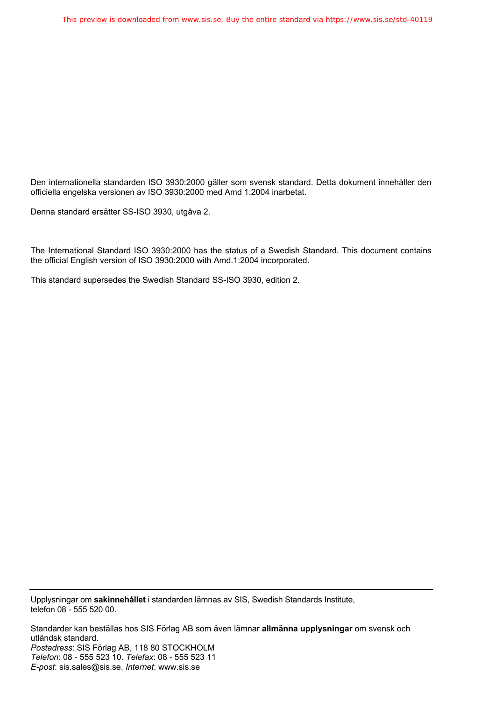Den internationella standarden ISO 3930:2000 gäller som svensk standard. Detta dokument innehåller den officiella engelska versionen av ISO 3930:2000 med Amd 1:2004 inarbetat.

Denna standard ersätter SS-ISO 3930, utgåva 2.

The International Standard ISO 3930:2000 has the status of a Swedish Standard. This document contains the official English version of ISO 3930:2000 with Amd.1:2004 incorporated.

This standard supersedes the Swedish Standard SS-ISO 3930, edition 2.

Upplysningar om **sakinnehållet** i standarden lämnas av SIS, Swedish Standards Institute, telefon 08 - 555 520 00.

Standarder kan beställas hos SIS Förlag AB som även lämnar **allmänna upplysningar** om svensk och utländsk standard. *Postadress*: SIS Förlag AB, 118 80 STOCKHOLM *Telefon*: 08 - 555 523 10. *Telefax*: 08 - 555 523 11 *E-post*: sis.sales@sis.se. *Internet*: www.sis.se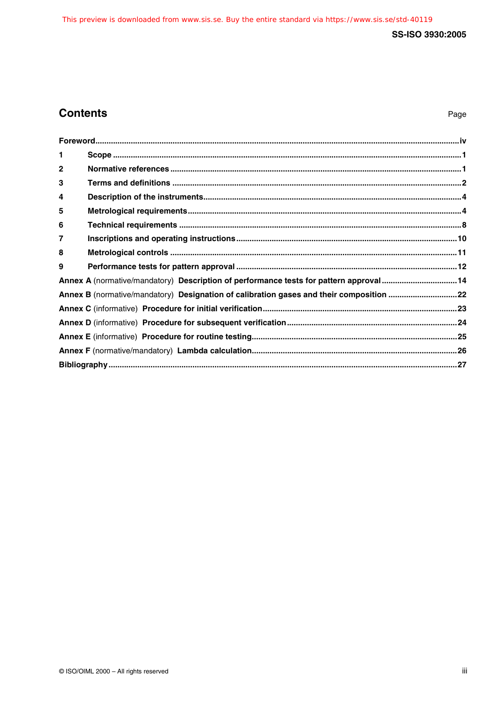# **Contents**

Page

| 1              |                                                                                         |  |
|----------------|-----------------------------------------------------------------------------------------|--|
| $\overline{2}$ |                                                                                         |  |
| 3              |                                                                                         |  |
| 4              |                                                                                         |  |
| 5              |                                                                                         |  |
| 6              |                                                                                         |  |
| $\overline{7}$ |                                                                                         |  |
| 8              |                                                                                         |  |
| 9              |                                                                                         |  |
|                | Annex A (normative/mandatory) Description of performance tests for pattern approval 14  |  |
|                | Annex B (normative/mandatory) Designation of calibration gases and their composition 22 |  |
|                |                                                                                         |  |
|                |                                                                                         |  |
|                |                                                                                         |  |
|                |                                                                                         |  |
|                |                                                                                         |  |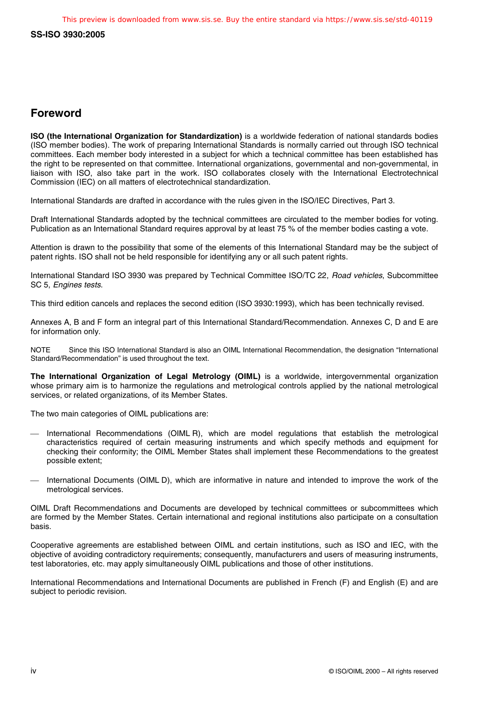# **Foreword**

**ISO (the International Organization for Standardization)** is a worldwide federation of national standards bodies (ISO member bodies). The work of preparing International Standards is normally carried out through ISO technical committees. Each member body interested in a subject for which a technical committee has been established has the right to be represented on that committee. International organizations, governmental and non-governmental, in liaison with ISO, also take part in the work. ISO collaborates closely with the International Electrotechnical Commission (IEC) on all matters of electrotechnical standardization.

International Standards are drafted in accordance with the rules given in the ISO/IEC Directives, Part 3.

Draft International Standards adopted by the technical committees are circulated to the member bodies for voting. Publication as an International Standard requires approval by at least 75 % of the member bodies casting a vote.

Attention is drawn to the possibility that some of the elements of this International Standard may be the subject of patent rights. ISO shall not be held responsible for identifying any or all such patent rights.

International Standard ISO 3930 was prepared by Technical Committee ISO/TC 22, Road vehicles, Subcommittee SC 5, Engines tests.

This third edition cancels and replaces the second edition (ISO 3930:1993), which has been technically revised.

Annexes A, B and F form an integral part of this International Standard/Recommendation. Annexes C, D and E are for information only.

NOTE Since this ISO International Standard is also an OIML International Recommendation, the designation "International Standard/Recommendation" is used throughout the text.

**The International Organization of Legal Metrology (OIML)** is a worldwide, intergovernmental organization whose primary aim is to harmonize the regulations and metrological controls applied by the national metrological services, or related organizations, of its Member States.

The two main categories of OIML publications are:

- International Recommendations (OIML R), which are model regulations that establish the metrological characteristics required of certain measuring instruments and which specify methods and equipment for checking their conformity; the OIML Member States shall implement these Recommendations to the greatest possible extent;
- International Documents (OIML D), which are informative in nature and intended to improve the work of the metrological services.

OIML Draft Recommendations and Documents are developed by technical committees or subcommittees which are formed by the Member States. Certain international and regional institutions also participate on a consultation basis.

Cooperative agreements are established between OIML and certain institutions, such as ISO and IEC, with the objective of avoiding contradictory requirements; consequently, manufacturers and users of measuring instruments, test laboratories, etc. may apply simultaneously OIML publications and those of other institutions.

International Recommendations and International Documents are published in French (F) and English (E) and are subject to periodic revision.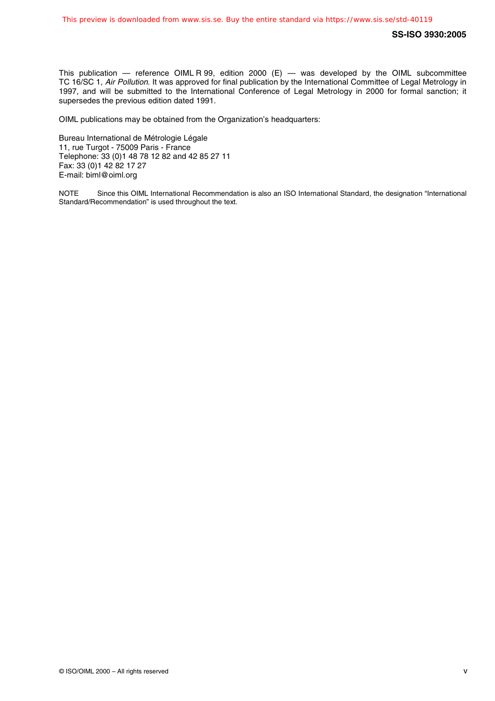This publication — reference OIML R 99, edition 2000 (E) — was developed by the OIML subcommittee TC 16/SC 1, Air Pollution. It was approved for final publication by the International Committee of Legal Metrology in 1997, and will be submitted to the International Conference of Legal Metrology in 2000 for formal sanction; it supersedes the previous edition dated 1991.

OIML publications may be obtained from the Organization's headquarters:

Bureau International de Métrologie Légale 11, rue Turgot - 75009 Paris - France Telephone: 33 (0)1 48 78 12 82 and 42 85 27 11 Fax: 33 (0)1 42 82 17 27 E-mail: biml@oiml.org

NOTE Since this OIML International Recommendation is also an ISO International Standard, the designation "International Standard/Recommendation" is used throughout the text.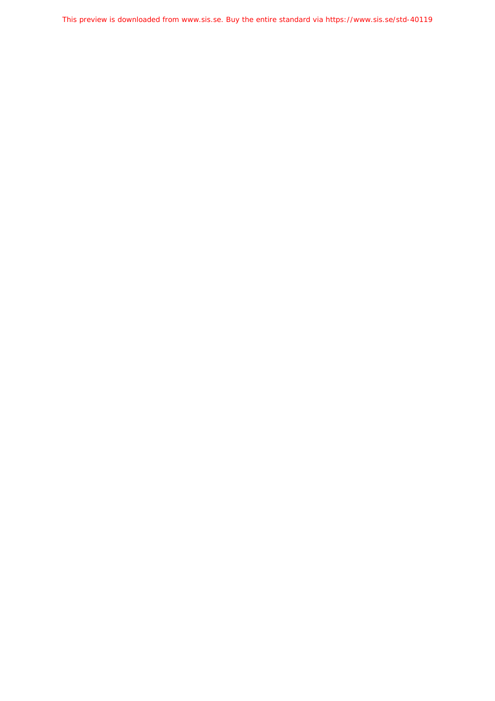This preview is downloaded from www.sis.se. Buy the entire standard via https://www.sis.se/std-40119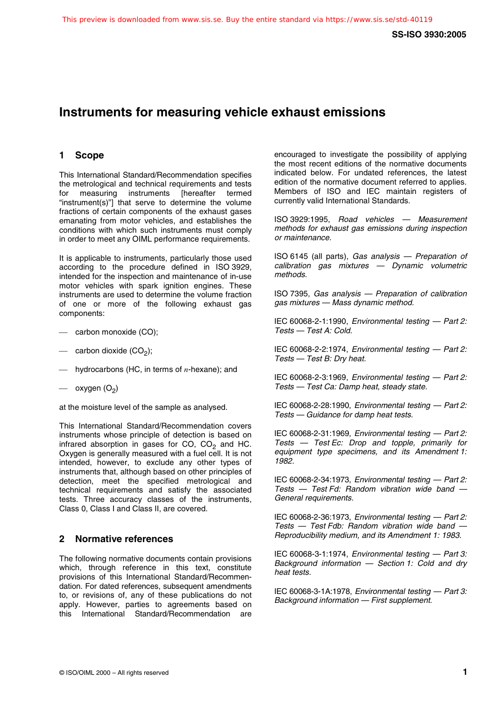# **Instruments for measuring vehicle exhaust emissions**

# **1 Scope**

This International Standard/Recommendation specifies the metrological and technical requirements and tests for measuring instruments [hereafter termed "instrument(s)"] that serve to determine the volume fractions of certain components of the exhaust gases emanating from motor vehicles, and establishes the conditions with which such instruments must comply in order to meet any OIML performance requirements.

It is applicable to instruments, particularly those used according to the procedure defined in ISO 3929, intended for the inspection and maintenance of in-use motor vehicles with spark ignition engines. These instruments are used to determine the volume fraction of one or more of the following exhaust gas components:

- carbon monoxide (CO);
- $\equiv$  carbon dioxide (CO<sub>2</sub>);
- hydrocarbons (HC, in terms of *n*-hexane); and
- oxygen  $(O_2)$

at the moisture level of the sample as analysed.

This International Standard/Recommendation covers instruments whose principle of detection is based on infrared absorption in gases for CO,  $CO<sub>2</sub>$  and HC. Oxygen is generally measured with a fuel cell. It is not intended, however, to exclude any other types of instruments that, although based on other principles of detection, meet the specified metrological and technical requirements and satisfy the associated tests. Three accuracy classes of the instruments, Class 0, Class I and Class II, are covered.

# **2 Normative references**

The following normative documents contain provisions which, through reference in this text, constitute provisions of this International Standard/Recommendation. For dated references, subsequent amendments to, or revisions of, any of these publications do not apply. However, parties to agreements based on this International Standard/Recommendation are encouraged to investigate the possibility of applying the most recent editions of the normative documents indicated below. For undated references, the latest edition of the normative document referred to applies. Members of ISO and IEC maintain registers of currently valid International Standards.

ISO 3929:1995, Road vehicles — Measurement methods for exhaust gas emissions during inspection or maintenance.

ISO 6145 (all parts), Gas analysis — Preparation of calibration gas mixtures — Dynamic volumetric methods.

ISO 7395, Gas analysis — Preparation of calibration gas mixtures — Mass dynamic method.

IEC 60068-2-1:1990, Environmental testing — Part 2: Tests — Test A: Cold.

IEC 60068-2-2:1974, Environmental testing — Part 2: Tests — Test B: Dry heat.

IEC 60068-2-3:1969, Environmental testing — Part 2: Tests — Test Ca: Damp heat, steady state.

IEC 60068-2-28:1990, Environmental testing — Part 2: Tests — Guidance for damp heat tests.

IEC 60068-2-31:1969, Environmental testing — Part 2: Tests — Test Ec: Drop and topple, primarily for equipment type specimens, and its Amendment 1: 1982.

IEC 60068-2-34:1973, Environmental testing — Part 2: Tests — Test Fd: Random vibration wide band — General requirements.

IEC 60068-2-36:1973, Environmental testing — Part 2: Tests — Test Fdb: Random vibration wide band — Reproducibility medium, and its Amendment 1: 1983.

IEC 60068-3-1:1974, Environmental testing — Part 3: Background information — Section 1: Cold and dry heat tests.

IEC 60068-3-1A:1978, Environmental testing — Part 3: Background information — First supplement.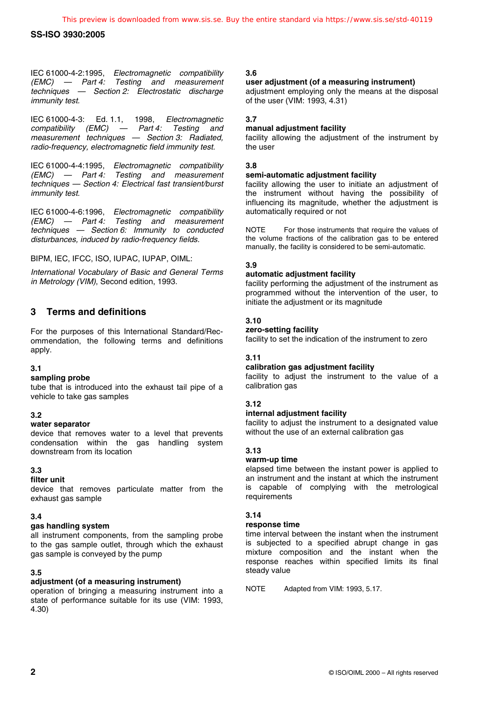IEC 61000-4-2:1995, Electromagnetic compatibility (EMC) — Part 4: Testing and measurement<br>techniques — Section 2: Electrostatic discharae - Section 2: Electrostatic discharge immunity test.

IEC 61000-4-3: Ed. 1.1, 1998, Electromagnetic<br>compatibility (EMC) — Part 4: Testing and compatibility (EMC) — Part 4: Testing and measurement techniques — Section 3: Radiated, radio-frequency, electromagnetic field immunity test.

IEC 61000-4-4:1995, Electromagnetic compatibility (EMC) — Part 4: Testing and measurement techniques — Section 4: Electrical fast transient/burst immunity test.

IEC 61000-4-6:1996, Electromagnetic compatibility (EMC) — Part 4: Testing and measurement techniques — Section 6: Immunity to conducted disturbances, induced by radio-frequency fields.

BIPM, IEC, IFCC, ISO, IUPAC, IUPAP, OIML:

International Vocabulary of Basic and General Terms in Metrology (VIM), Second edition, 1993.

# **3 Terms and definitions**

For the purposes of this International Standard/Recommendation, the following terms and definitions apply.

## **3.1**

#### **sampling probe**

tube that is introduced into the exhaust tail pipe of a vehicle to take gas samples

## **3.2**

#### **water separator**

device that removes water to a level that prevents condensation within the gas handling system downstream from its location

# **3.3**

# **filter unit**

device that removes particulate matter from the exhaust gas sample

#### **3.4**

#### **gas handling system**

all instrument components, from the sampling probe to the gas sample outlet, through which the exhaust gas sample is conveyed by the pump

## **3.5**

## **adjustment (of a measuring instrument)**

operation of bringing a measuring instrument into a state of performance suitable for its use (VIM: 1993, 4.30)

#### **3.6**

#### **user adjustment (of a measuring instrument)**

adjustment employing only the means at the disposal of the user (VIM: 1993, 4.31)

# **3.7**

#### **manual adjustment facility**

facility allowing the adjustment of the instrument by the user

#### **3.8**

#### **semi-automatic adjustment facility**

facility allowing the user to initiate an adjustment of the instrument without having the possibility of influencing its magnitude, whether the adjustment is automatically required or not

NOTE For those instruments that require the values of the volume fractions of the calibration gas to be entered manually, the facility is considered to be semi-automatic.

## **3.9**

## **automatic adjustment facility**

facility performing the adjustment of the instrument as programmed without the intervention of the user, to initiate the adjustment or its magnitude

## **3.10**

#### **zero-setting facility**

facility to set the indication of the instrument to zero

## **3.11**

#### **calibration gas adjustment facility**

facility to adjust the instrument to the value of a calibration gas

## **3.12**

# **internal adjustment facility**

facility to adjust the instrument to a designated value without the use of an external calibration gas

## **3.13**

#### **warm-up time**

elapsed time between the instant power is applied to an instrument and the instant at which the instrument is capable of complying with the metrological requirements

## **3.14**

#### **response time**

time interval between the instant when the instrument is subjected to a specified abrupt change in gas mixture composition and the instant when the response reaches within specified limits its final steady value

NOTE Adapted from VIM: 1993, 5.17.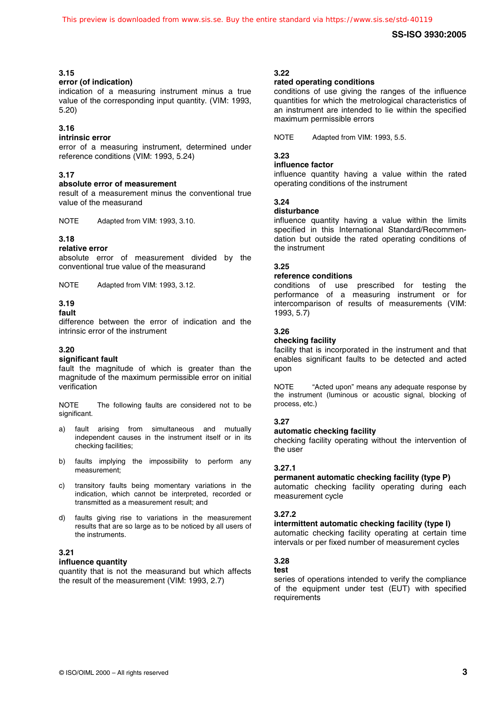This preview is downloaded from www.sis.se. Buy the entire standard via https://www.sis.se/std-40119

**SS-ISO 3930:2005**

## **3.15**

#### **error (of indication)**

indication of a measuring instrument minus a true value of the corresponding input quantity. (VIM: 1993, 5.20)

## **3.16**

## **intrinsic error**

error of a measuring instrument, determined under reference conditions (VIM: 1993, 5.24)

# **3.17**

## **absolute error of measurement**

result of a measurement minus the conventional true value of the measurand

NOTE Adapted from VIM: 1993, 3.10.

## **3.18**

## **relative error**

absolute error of measurement divided by the conventional true value of the measurand

NOTE Adapted from VIM: 1993, 3.12.

# **3.19**

## **fault**

difference between the error of indication and the intrinsic error of the instrument

# **3.20**

## **significant fault**

fault the magnitude of which is greater than the magnitude of the maximum permissible error on initial verification

NOTE The following faults are considered not to be significant.

- a) fault arising from simultaneous and mutually independent causes in the instrument itself or in its checking facilities;
- b) faults implying the impossibility to perform any measurement;
- c) transitory faults being momentary variations in the indication, which cannot be interpreted, recorded or transmitted as a measurement result; and
- d) faults giving rise to variations in the measurement results that are so large as to be noticed by all users of the instruments.

## **3.21**

## **influence quantity**

quantity that is not the measurand but which affects the result of the measurement (VIM: 1993, 2.7)

# **3.22**

#### **rated operating conditions**

conditions of use giving the ranges of the influence quantities for which the metrological characteristics of an instrument are intended to lie within the specified maximum permissible errors

NOTE Adapted from VIM: 1993, 5.5.

#### **3.23**

## **influence factor**

influence quantity having a value within the rated operating conditions of the instrument

## **3.24**

## **disturbance**

influence quantity having a value within the limits specified in this International Standard/Recommendation but outside the rated operating conditions of the instrument

# **3.25**

## **reference conditions**

conditions of use prescribed for testing the performance of a measuring instrument or for intercomparison of results of measurements (VIM: 1993, 5.7)

## **3.26**

## **checking facility**

facility that is incorporated in the instrument and that enables significant faults to be detected and acted upon

NOTE "Acted upon" means any adequate response by the instrument (luminous or acoustic signal, blocking of process, etc.)

## **3.27**

## **automatic checking facility**

checking facility operating without the intervention of the user

# **3.27.1**

**permanent automatic checking facility (type P)** automatic checking facility operating during each measurement cycle

## **3.27.2**

**intermittent automatic checking facility (type I)** automatic checking facility operating at certain time intervals or per fixed number of measurement cycles

# **3.28**

## **test**

series of operations intended to verify the compliance of the equipment under test (EUT) with specified requirements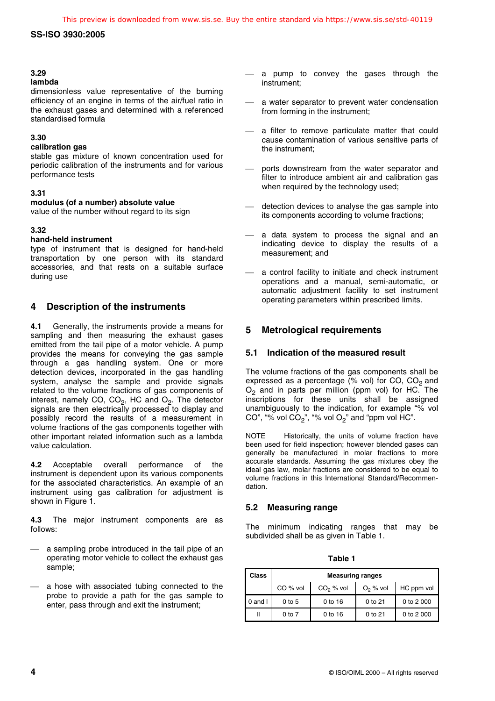#### **3.29**

#### **lambda**

dimensionless value representative of the burning efficiency of an engine in terms of the air/fuel ratio in the exhaust gases and determined with a referenced standardised formula

#### **3.30**

#### **calibration gas**

stable gas mixture of known concentration used for periodic calibration of the instruments and for various performance tests

#### **3.31**

#### **modulus (of a number) absolute value**

value of the number without regard to its sign

#### **3.32**

#### **hand-held instrument**

type of instrument that is designed for hand-held transportation by one person with its standard accessories, and that rests on a suitable surface during use

# **4 Description of the instruments**

**4.1** Generally, the instruments provide a means for sampling and then measuring the exhaust gases emitted from the tail pipe of a motor vehicle. A pump provides the means for conveying the gas sample through a gas handling system. One or more detection devices, incorporated in the gas handling system, analyse the sample and provide signals related to the volume fractions of gas components of interest, namely CO, CO<sub>2</sub>, HC and  $O<sub>2</sub>$ . The detector signals are then electrically processed to display and possibly record the results of a measurement in volume fractions of the gas components together with other important related information such as a lambda value calculation.

**4.2** Acceptable overall performance of instrument is dependent upon its various components for the associated characteristics. An example of an instrument using gas calibration for adjustment is shown in Figure 1.

**4.3** The major instrument components are as follows:

- a sampling probe introduced in the tail pipe of an operating motor vehicle to collect the exhaust gas sample;
- a hose with associated tubing connected to the probe to provide a path for the gas sample to enter, pass through and exit the instrument;
- a pump to convey the gases through the instrument;
- a water separator to prevent water condensation from forming in the instrument;
- a filter to remove particulate matter that could cause contamination of various sensitive parts of the instrument;
- ports downstream from the water separator and filter to introduce ambient air and calibration gas when required by the technology used;
- detection devices to analyse the gas sample into its components according to volume fractions;
- a data system to process the signal and an indicating device to display the results of a measurement; and
- a control facility to initiate and check instrument operations and a manual, semi-automatic, or automatic adjustment facility to set instrument operating parameters within prescribed limits.

# **5 Metrological requirements**

## **5.1 Indication of the measured result**

The volume fractions of the gas components shall be expressed as a percentage  $(%$  vol) for CO, CO<sub>2</sub> and  $O<sub>2</sub>$  and in parts per million (ppm vol) for HC. The inscriptions for these units shall be assigned unambiguously to the indication, for example "% vol CO", "% vol CO<sub>2</sub>", "% vol O<sub>2</sub>" and "ppm vol HC".

NOTE Historically, the units of volume fraction have been used for field inspection; however blended gases can generally be manufactured in molar fractions to more accurate standards. Assuming the gas mixtures obey the ideal gas law, molar fractions are considered to be equal to volume fractions in this International Standard/Recommendation.

## **5.2 Measuring range**

The minimum indicating ranges that may be subdivided shall be as given in Table 1.

| . .<br>۰,<br>×<br>×<br>۰. |  |
|---------------------------|--|
|---------------------------|--|

| <b>Class</b> | <b>Measuring ranges</b> |             |             |            |  |
|--------------|-------------------------|-------------|-------------|------------|--|
|              | $CO%$ vol               | $CO2$ % vol | $O2$ % vol  | HC ppm vol |  |
| 0 and I      | $0$ to $5$              | 0 to 16     | 0 to 21     | 0 to 2 000 |  |
|              | 0 <sub>to</sub> 7       | 0 to 16     | $0$ to $21$ | 0 to 2 000 |  |